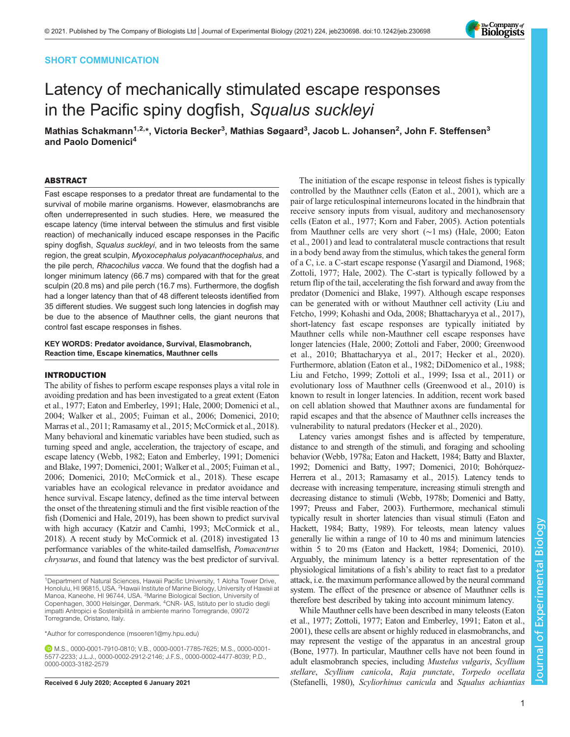# SHORT COMMUNICATION

# Latency of mechanically stimulated escape responses in the Pacific spiny dogfish, Squalus suckleyi

Mathias Schakmann<sup>1,2,</sup>\*, Victoria Becker<sup>3</sup>, Mathias Søgaard<sup>3</sup>, Jacob L. Johansen<sup>2</sup>, John F. Steffensen<sup>3</sup> and Paolo Domenici<sup>4</sup>

#### ABSTRACT

Fast escape responses to a predator threat are fundamental to the survival of mobile marine organisms. However, elasmobranchs are often underrepresented in such studies. Here, we measured the escape latency (time interval between the stimulus and first visible reaction) of mechanically induced escape responses in the Pacific spiny dogfish, Squalus suckleyi, and in two teleosts from the same region, the great sculpin, Myoxocephalus polyacanthocephalus, and the pile perch, Rhacochilus vacca. We found that the dogfish had a longer minimum latency (66.7 ms) compared with that for the great sculpin (20.8 ms) and pile perch (16.7 ms). Furthermore, the dogfish had a longer latency than that of 48 different teleosts identified from 35 different studies. We suggest such long latencies in dogfish may be due to the absence of Mauthner cells, the giant neurons that control fast escape responses in fishes.

# KEY WORDS: Predator avoidance, Survival, Elasmobranch, Reaction time, Escape kinematics, Mauthner cells

#### INTRODUCTION

The ability of fishes to perform escape responses plays a vital role in avoiding predation and has been investigated to a great extent ([Eaton](#page-5-0) [et al., 1977; Eaton and Emberley, 1991](#page-5-0); [Hale, 2000;](#page-5-0) [Domenici et al.,](#page-4-0) [2004;](#page-4-0) [Walker et al., 2005](#page-5-0); [Fuiman et al., 2006;](#page-5-0) [Domenici, 2010](#page-4-0); [Marras et al., 2011; Ramasamy et al., 2015; McCormick et al., 2018\)](#page-5-0). Many behavioral and kinematic variables have been studied, such as turning speed and angle, acceleration, the trajectory of escape, and escape latency [\(Webb, 1982](#page-5-0); [Eaton and Emberley, 1991](#page-5-0); [Domenici](#page-4-0) [and Blake, 1997; Domenici, 2001;](#page-4-0) [Walker et al., 2005](#page-5-0); [Fuiman et al.,](#page-5-0) [2006;](#page-5-0) [Domenici, 2010](#page-4-0); [McCormick et al., 2018\)](#page-5-0). These escape variables have an ecological relevance in predator avoidance and hence survival. Escape latency, defined as the time interval between the onset of the threatening stimuli and the first visible reaction of the fish [\(Domenici and Hale, 2019](#page-4-0)), has been shown to predict survival with high accuracy ([Katzir and Camhi, 1993; McCormick et al.,](#page-5-0) [2018\)](#page-5-0). A recent study by [McCormick et al. \(2018\)](#page-5-0) investigated 13 performance variables of the white-tailed damselfish, Pomacentrus chrysurus, and found that latency was the best predictor of survival.

\*Author for correspondence [\(msoeren1@my.hpu.edu\)](mailto:msoeren1@my.hpu.edu)

M.S., [0000-0001-7910-0810;](http://orcid.org/0000-0001-7910-0810) V.B., [0000-0001-7785-7625](http://orcid.org/0000-0001-7785-7625); M.S., [0000-0001-](http://orcid.org/0000-0001-5577-2233) [5577-2233](http://orcid.org/0000-0001-5577-2233); J.L.J., [0000-0002-2912-2146](http://orcid.org/0000-0002-2912-2146); J.F.S., [0000-0002-4477-8039;](http://orcid.org/0000-0002-4477-8039) P.D., [0000-0003-3182-2579](http://orcid.org/0000-0003-3182-2579)

The initiation of the escape response in teleost fishes is typically controlled by the Mauthner cells ([Eaton et al., 2001\)](#page-5-0), which are a pair of large reticulospinal interneurons located in the hindbrain that receive sensory inputs from visual, auditory and mechanosensory cells ([Eaton et al., 1977; Korn and Faber, 2005\)](#page-5-0). Action potentials from Mauthner cells are very short (∼1 ms) [\(Hale, 2000; Eaton](#page-5-0) [et al., 2001\)](#page-5-0) and lead to contralateral muscle contractions that result in a body bend away from the stimulus, which takes the general form of a C, i.e. a C-start escape response ([Yasargil and Diamond, 1968](#page-5-0); [Zottoli, 1977](#page-5-0); [Hale, 2002](#page-5-0)). The C-start is typically followed by a return flip of the tail, accelerating the fish forward and away from the predator ([Domenici and Blake, 1997](#page-4-0)). Although escape responses can be generated with or without Mauthner cell activity ([Liu and](#page-5-0) [Fetcho, 1999](#page-5-0); [Kohashi and Oda, 2008;](#page-5-0) [Bhattacharyya et al., 2017\)](#page-4-0), short-latency fast escape responses are typically initiated by Mauthner cells while non-Mauthner cell escape responses have longer latencies [\(Hale, 2000](#page-5-0); [Zottoli and Faber, 2000; Greenwood](#page-5-0) [et al., 2010](#page-5-0); [Bhattacharyya et al., 2017](#page-4-0); [Hecker et al., 2020\)](#page-5-0). Furthermore, ablation [\(Eaton et al., 1982](#page-5-0); [DiDomenico et al., 1988](#page-4-0); [Liu and Fetcho, 1999; Zottoli et al., 1999; Issa et al., 2011](#page-5-0)) or evolutionary loss of Mauthner cells [\(Greenwood et al., 2010\)](#page-5-0) is known to result in longer latencies. In addition, recent work based on cell ablation showed that Mauthner axons are fundamental for rapid escapes and that the absence of Mauthner cells increases the vulnerability to natural predators [\(Hecker et al., 2020](#page-5-0)).

Latency varies amongst fishes and is affected by temperature, distance to and strength of the stimuli, and foraging and schooling behavior [\(Webb, 1978a; Eaton and Hackett, 1984;](#page-5-0) [Batty and Blaxter,](#page-4-0) [1992](#page-4-0); [Domenici and Batty, 1997](#page-4-0); [Domenici, 2010; Bohórquez-](#page-4-0)[Herrera et al., 2013;](#page-4-0) [Ramasamy et al., 2015\)](#page-5-0). Latency tends to decrease with increasing temperature, increasing stimuli strength and decreasing distance to stimuli ([Webb, 1978b](#page-5-0); [Domenici and Batty,](#page-4-0) [1997](#page-4-0); [Preuss and Faber, 2003](#page-5-0)). Furthermore, mechanical stimuli typically result in shorter latencies than visual stimuli [\(Eaton and](#page-5-0) [Hackett, 1984](#page-5-0); [Batty, 1989](#page-4-0)). For teleosts, mean latency values generally lie within a range of 10 to 40 ms and minimum latencies within 5 to 20 ms [\(Eaton and Hackett, 1984;](#page-5-0) [Domenici, 2010\)](#page-4-0). Arguably, the minimum latency is a better representation of the physiological limitations of a fish's ability to react fast to a predator attack, i.e. the maximum performance allowed by the neural command system. The effect of the presence or absence of Mauthner cells is therefore best described by taking into account minimum latency.

While Mauthner cells have been described in many teleosts ([Eaton](#page-5-0) [et al., 1977](#page-5-0); [Zottoli, 1977](#page-5-0); [Eaton and Emberley, 1991; Eaton et al.,](#page-5-0) [2001\)](#page-5-0), these cells are absent or highly reduced in elasmobranchs, and may represent the vestige of the apparatus in an ancestral group [\(Bone, 1977\)](#page-4-0). In particular, Mauthner cells have not been found in adult elasmobranch species, including Mustelus vulgaris, Scyllium stellare, Scyllium canicola, Raja punctate, Torpedo ocellata Received 6 July 2020; Accepted 6 January 2021 [\(Stefanelli, 1980\)](#page-5-0), Scyliorhinus canicula and Squalus achiantias



<sup>1</sup>Department of Natural Sciences, Hawaii Pacific University, 1 Aloha Tower Drive, Honolulu, HI 96815, USA. <sup>2</sup> Hawaii Institute of Marine Biology, University of Hawaii at Manoa, Kaneohe, HI 96744, USA. <sup>3</sup>Marine Biological Section, University of Copenhagen, 3000 Helsingør, Denmark. <sup>4</sup> CNR- IAS, Istituto per lo studio degli impatti Antropici e Sostenibilità in ambiente marino Torregrande, 09072 Torregrande, Oristano, Italy.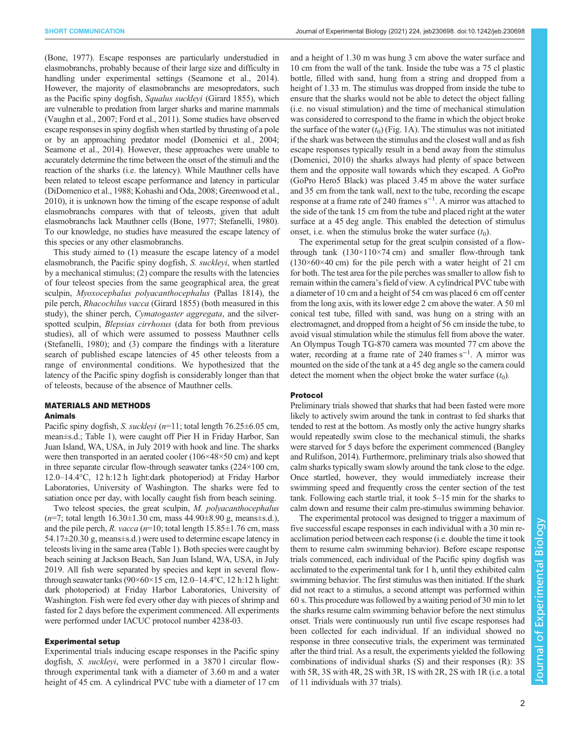[\(Bone, 1977](#page-4-0)). Escape responses are particularly understudied in elasmobranchs, probably because of their large size and difficulty in handling under experimental settings [\(Seamone et al., 2014\)](#page-5-0). However, the majority of elasmobranchs are mesopredators, such as the Pacific spiny dogfish, Squalus suckleyi (Girard 1855), which are vulnerable to predation from larger sharks and marine mammals [\(Vaughn et al., 2007](#page-5-0); [Ford et al., 2011\)](#page-5-0). Some studies have observed escape responses in spiny dogfish when startled by thrusting of a pole or by an approaching predator model [\(Domenici et al., 2004](#page-4-0); [Seamone et al., 2014\)](#page-5-0). However, these approaches were unable to accurately determine the time between the onset of the stimuli and the reaction of the sharks (i.e. the latency). While Mauthner cells have been related to teleost escape performance and latency in particular [\(DiDomenico et al., 1988;](#page-4-0) [Kohashi and Oda, 2008](#page-5-0); [Greenwood et al.,](#page-5-0) [2010\)](#page-5-0), it is unknown how the timing of the escape response of adult elasmobranchs compares with that of teleosts, given that adult elasmobranchs lack Mauthner cells [\(Bone, 1977;](#page-4-0) [Stefanelli, 1980\)](#page-5-0). To our knowledge, no studies have measured the escape latency of this species or any other elasmobranchs.

This study aimed to (1) measure the escape latency of a model elasmobranch, the Pacific spiny dogfish, S. suckleyi, when startled by a mechanical stimulus; (2) compare the results with the latencies of four teleost species from the same geographical area, the great sculpin, Myoxocephalus polyacanthocephalus (Pallas 1814), the pile perch, Rhacochilus vacca (Girard 1855) (both measured in this study), the shiner perch, *Cymatogaster aggregata*, and the silverspotted sculpin, Blepsias cirrhosus (data for both from previous studies), all of which were assumed to possess Mauthner cells [\(Stefanelli, 1980\)](#page-5-0); and (3) compare the findings with a literature search of published escape latencies of 45 other teleosts from a range of environmental conditions. We hypothesized that the latency of the Pacific spiny dogfish is considerably longer than that of teleosts, because of the absence of Mauthner cells.

# MATERIALS AND METHODS

# Animals

Pacific spiny dogfish, S. suckleyi ( $n=11$ ; total length 76.25 $\pm$ 6.05 cm, mean±s.d.; [Table 1](#page-2-0)), were caught off Pier H in Friday Harbor, San Juan Island, WA, USA, in July 2019 with hook and line. The sharks were then transported in an aerated cooler (106×48×50 cm) and kept in three separate circular flow-through seawater tanks (224×100 cm, 12.0–14.4°C, 12 h:12 h light:dark photoperiod) at Friday Harbor Laboratories, University of Washington. The sharks were fed to satiation once per day, with locally caught fish from beach seining.

Two teleost species, the great sculpin, M. polyacanthocephalus  $(n=7; \text{ total length } 16.30 \pm 1.30 \text{ cm}, \text{ mass } 44.90 \pm 8.90 \text{ g}, \text{ means} \pm \text{s.d.}$ and the pile perch, R. vacca ( $n=10$ ; total length 15.85 $\pm$ 1.76 cm, mass 54.17±20.30 g, means±s.d.) were used to determine escape latency in teleosts living in the same area ([Table 1\)](#page-2-0). Both species were caught by beach seining at Jackson Beach, San Juan Island, WA, USA, in July 2019. All fish were separated by species and kept in several flowthrough seawater tanks  $(90\times60\times15$  cm, 12.0–14.4°C, 12 h:12 h light: dark photoperiod) at Friday Harbor Laboratories, University of Washington. Fish were fed every other day with pieces of shrimp and fasted for 2 days before the experiment commenced. All experiments were performed under IACUC protocol number 4238-03.

## Experimental setup

Experimental trials inducing escape responses in the Pacific spiny dogfish, S. suckleyi, were performed in a 3870 l circular flowthrough experimental tank with a diameter of 3.60 m and a water height of 45 cm. A cylindrical PVC tube with a diameter of 17 cm and a height of 1.30 m was hung 3 cm above the water surface and 10 cm from the wall of the tank. Inside the tube was a 75 cl plastic bottle, filled with sand, hung from a string and dropped from a height of 1.33 m. The stimulus was dropped from inside the tube to ensure that the sharks would not be able to detect the object falling (i.e. no visual stimulation) and the time of mechanical stimulation was considered to correspond to the frame in which the object broke the surface of the water  $(t_0)$  ([Fig. 1A](#page-2-0)). The stimulus was not initiated if the shark was between the stimulus and the closest wall and as fish escape responses typically result in a bend away from the stimulus [\(Domenici, 2010\)](#page-4-0) the sharks always had plenty of space between them and the opposite wall towards which they escaped. A GoPro (GoPro Hero5 Black) was placed 3.45 m above the water surface and 35 cm from the tank wall, next to the tube, recording the escape response at a frame rate of 240 frames s−<sup>1</sup> . A mirror was attached to the side of the tank 15 cm from the tube and placed right at the water surface at a 45 deg angle. This enabled the detection of stimulus onset, i.e. when the stimulus broke the water surface  $(t_0)$ .

The experimental setup for the great sculpin consisted of a flowthrough tank  $(130\times110\times74 \text{ cm})$  and smaller flow-through tank  $(130\times60\times40$  cm) for the pile perch with a water height of 21 cm for both. The test area for the pile perches was smaller to allow fish to remain within the camera's field of view. A cylindrical PVC tube with a diameter of 10 cm and a height of 54 cm was placed 6 cm off center from the long axis, with its lower edge 2 cm above the water. A 50 ml conical test tube, filled with sand, was hung on a string with an electromagnet, and dropped from a height of 56 cm inside the tube, to avoid visual stimulation while the stimulus fell from above the water. An Olympus Tough TG-870 camera was mounted 77 cm above the water, recording at a frame rate of 240 frames s<sup>-1</sup>. A mirror was mounted on the side of the tank at a 45 deg angle so the camera could detect the moment when the object broke the water surface  $(t_0)$ .

#### Protocol

Preliminary trials showed that sharks that had been fasted were more likely to actively swim around the tank in contrast to fed sharks that tended to rest at the bottom. As mostly only the active hungry sharks would repeatedly swim close to the mechanical stimuli, the sharks were starved for 5 days before the experiment commenced [\(Bangley](#page-4-0) [and Rulifson, 2014](#page-4-0)). Furthermore, preliminary trials also showed that calm sharks typically swam slowly around the tank close to the edge. Once startled, however, they would immediately increase their swimming speed and frequently cross the center section of the test tank. Following each startle trial, it took 5–15 min for the sharks to calm down and resume their calm pre-stimulus swimming behavior.

The experimental protocol was designed to trigger a maximum of five successful escape responses in each individual with a 30 min reacclimation period between each response (i.e. double the time it took them to resume calm swimming behavior). Before escape response trials commenced, each individual of the Pacific spiny dogfish was acclimated to the experimental tank for 1 h, until they exhibited calm swimming behavior. The first stimulus was then initiated. If the shark did not react to a stimulus, a second attempt was performed within 60 s. This procedure was followed by a waiting period of 30 min to let the sharks resume calm swimming behavior before the next stimulus onset. Trials were continuously run until five escape responses had been collected for each individual. If an individual showed no response in three consecutive trials, the experiment was terminated after the third trial. As a result, the experiments yielded the following combinations of individual sharks (S) and their responses (R): 3S with 5R, 3S with 4R, 2S with 3R, 1S with 2R, 2S with 1R (i.e. a total of 11 individuals with 37 trials).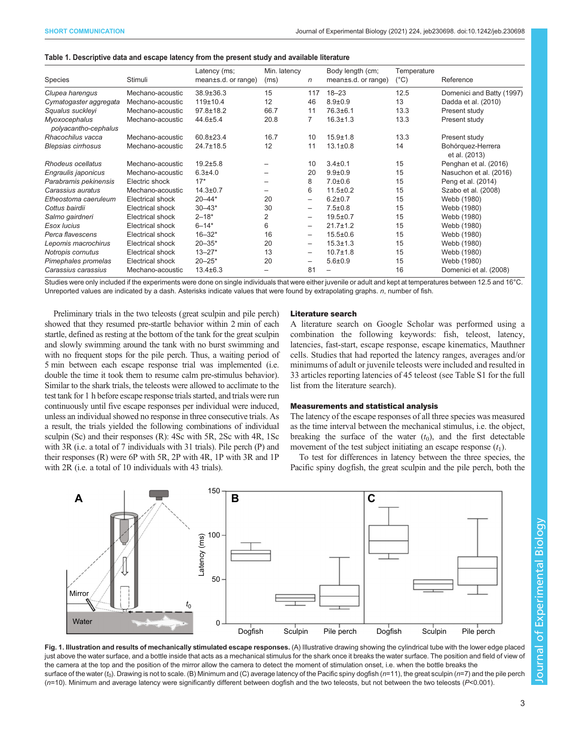<span id="page-2-0"></span>

| Species                               | Stimuli                 | Latency (ms;<br>mean±s.d. or range) | Min. latency<br>(ms)     | $\mathsf{n}$             | Body length (cm;<br>mean±s.d. or range) | Temperature<br>$(^{\circ}C)$ | Reference                          |
|---------------------------------------|-------------------------|-------------------------------------|--------------------------|--------------------------|-----------------------------------------|------------------------------|------------------------------------|
| Clupea harengus                       | Mechano-acoustic        | 38.9±36.3                           | 15                       | 117                      | $18 - 23$                               | 12.5                         | Domenici and Batty (1997)          |
| Cymatogaster aggregata                | Mechano-acoustic        | 119±10.4                            | 12                       | 46                       | $8.9 + 0.9$                             | 13                           | Dadda et al. (2010)                |
| Squalus suckleyi                      | Mechano-acoustic        | $97.8 \pm 18.2$                     | 66.7                     | 11                       | $76.3 \pm 6.1$                          | 13.3                         | Present study                      |
| Myoxocephalus<br>polyacantho-cephalus | Mechano-acoustic        | $44.6 \pm 5.4$                      | 20.8                     | 7                        | $16.3 \pm 1.3$                          | 13.3                         | Present study                      |
| Rhacochilus vacca                     | Mechano-acoustic        | 60.8±23.4                           | 16.7                     | 10                       | $15.9 \pm 1.8$                          | 13.3                         | Present study                      |
| <b>Blepsias cirrhosus</b>             | Mechano-acoustic        | 24.7±18.5                           | 12                       | 11                       | $13.1 \pm 0.8$                          | 14                           | Bohórquez-Herrera<br>et al. (2013) |
| Rhodeus ocellatus                     | Mechano-acoustic        | $19.2 + 5.8$                        |                          | 10                       | $3.4 \pm 0.1$                           | 15                           | Penghan et al. (2016)              |
| Engraulis japonicus                   | Mechano-acoustic        | $6.3{\pm}4.0$                       | $\overline{\phantom{0}}$ | 20                       | $9.9 + 0.9$                             | 15                           | Nasuchon et al. (2016)             |
| Parabramis pekinensis                 | Electric shock          | $17*$                               |                          | 8                        | $7.0 \pm 0.6$                           | 15                           | Peng et al. (2014)                 |
| Carassius auratus                     | Mechano-acoustic        | $14.3 + 0.7$                        | $\overline{\phantom{0}}$ | 6                        | $11.5 \pm 0.2$                          | 15                           | Szabo et al. (2008)                |
| Etheostoma caeruleum                  | Electrical shock        | $20 - 44*$                          | 20                       | $\overline{\phantom{0}}$ | $6.2 \pm 0.7$                           | 15                           | Webb (1980)                        |
| Cottus bairdii                        | Electrical shock        | $30 - 43*$                          | 30                       | $\qquad \qquad -$        | $7.5 \pm 0.8$                           | 15                           | Webb (1980)                        |
| Salmo gairdneri                       | Electrical shock        | $2 - 18*$                           | $\overline{2}$           | $\overline{\phantom{0}}$ | $19.5 \pm 0.7$                          | 15                           | Webb (1980)                        |
| Esox lucius                           | <b>Electrical shock</b> | $6 - 14*$                           | 6                        | $\qquad \qquad$          | $21.7 \pm 1.2$                          | 15                           | Webb (1980)                        |
| Perca flavescens                      | Electrical shock        | $16 - 32*$                          | 16                       | $\overline{\phantom{0}}$ | $15.5 \pm 0.6$                          | 15                           | Webb (1980)                        |
| Lepomis macrochirus                   | Electrical shock        | $20 - 35*$                          | 20                       | $\qquad \qquad$          | $15.3 \pm 1.3$                          | 15                           | Webb (1980)                        |
| Notropis cornutus                     | Electrical shock        | $13 - 27*$                          | 13                       | $\qquad \qquad -$        | $10.7 \pm 1.8$                          | 15                           | Webb (1980)                        |
| Pimephales promelas                   | <b>Electrical shock</b> | $20 - 25*$                          | 20                       | $\overline{\phantom{0}}$ | $5.6 \pm 0.9$                           | 15                           | Webb (1980)                        |
| Carassius carassius                   | Mechano-acoustic        | $13.4 \pm 6.3$                      |                          | 81                       |                                         | 16                           | Domenici et al. (2008)             |

Studies were only included if the experiments were done on single individuals that were either juvenile or adult and kept at temperatures between 12.5 and 16°C. Unreported values are indicated by a dash. Asterisks indicate values that were found by extrapolating graphs. n, number of fish.

Preliminary trials in the two teleosts (great sculpin and pile perch) showed that they resumed pre-startle behavior within 2 min of each startle, defined as resting at the bottom of the tank for the great sculpin and slowly swimming around the tank with no burst swimming and with no frequent stops for the pile perch. Thus, a waiting period of 5 min between each escape response trial was implemented (i.e. double the time it took them to resume calm pre-stimulus behavior). Similar to the shark trials, the teleosts were allowed to acclimate to the test tank for 1 h before escape response trials started, and trials were run continuously until five escape responses per individual were induced, unless an individual showed no response in three consecutive trials. As a result, the trials yielded the following combinations of individual sculpin (Sc) and their responses (R): 4Sc with 5R, 2Sc with 4R, 1Sc with 3R (i.e. a total of 7 individuals with 31 trials). Pile perch (P) and their responses (R) were 6P with 5R, 2P with 4R, 1P with 3R and 1P with 2R (i.e. a total of 10 individuals with 43 trials).

### Literature search

A literature search on Google Scholar was performed using a combination the following keywords: fish, teleost, latency, latencies, fast-start, escape response, escape kinematics, Mauthner cells. Studies that had reported the latency ranges, averages and/or minimums of adult or juvenile teleosts were included and resulted in 33 articles reporting latencies of 45 teleost (see [Table S1](http://jeb.biologists.org/lookup/doi/10.1242/jeb230698.supplemental) for the full list from the literature search).

#### Measurements and statistical analysis

The latency of the escape responses of all three species was measured as the time interval between the mechanical stimulus, i.e. the object, breaking the surface of the water  $(t_0)$ , and the first detectable movement of the test subject initiating an escape response  $(t_1)$ .

To test for differences in latency between the three species, the Pacific spiny dogfish, the great sculpin and the pile perch, both the



Fig. 1. Illustration and results of mechanically stimulated escape responses. (A) Illustrative drawing showing the cylindrical tube with the lower edge placed just above the water surface, and a bottle inside that acts as a mechanical stimulus for the shark once it breaks the water surface. The position and field of view of the camera at the top and the position of the mirror allow the camera to detect the moment of stimulation onset, i.e. when the bottle breaks the surface of the water ( $t_0$ ). Drawing is not to scale. (B) Minimum and (C) average latency of the Pacific spiny dogfish ( $n=11$ ), the great sculpin ( $n=7$ ) and the pile perch (n=10). Minimum and average latency were significantly different between dogfish and the two teleosts, but not between the two teleosts (P<0.001).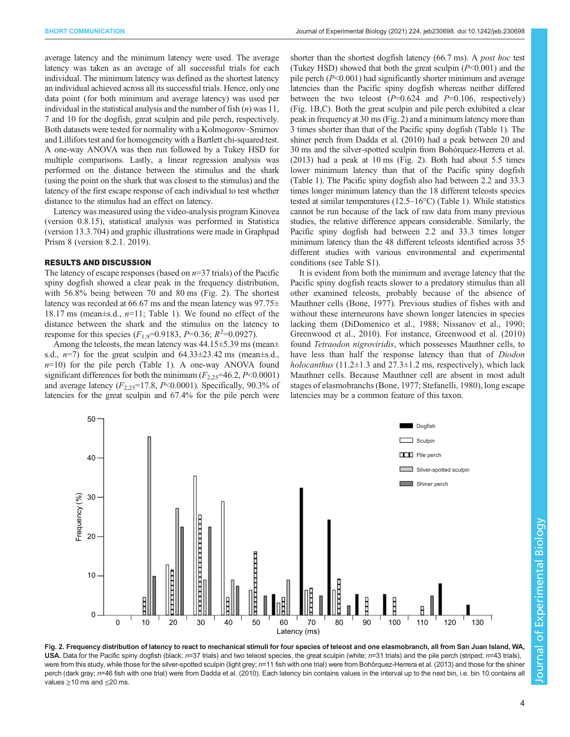average latency and the minimum latency were used. The average latency was taken as an average of all successful trials for each individual. The minimum latency was defined as the shortest latency an individual achieved across all its successful trials. Hence, only one data point (for both minimum and average latency) was used per individual in the statistical analysis and the number of fish  $(n)$  was 11, 7 and 10 for the dogfish, great sculpin and pile perch, respectively. Both datasets were tested for normality with a Kolmogorov–Smirnov and Lillifors test and for homogeneity with a Bartlett chi-squared test. A one-way ANOVA was then run followed by a Tukey HSD for multiple comparisons. Lastly, a linear regression analysis was performed on the distance between the stimulus and the shark (using the point on the shark that was closest to the stimulus) and the latency of the first escape response of each individual to test whether distance to the stimulus had an effect on latency.

Latency was measured using the video-analysis program Kinovea (version 0.8.15), statistical analysis was performed in Statistica (version 13.3.704) and graphic illustrations were made in Graphpad Prism 8 (version 8.2.1. 2019).

### RESULTS AND DISCUSSION

The latency of escape responses (based on  $n=37$  trials) of the Pacific spiny dogfish showed a clear peak in the frequency distribution, with 56.8% being between 70 and 80 ms (Fig. 2). The shortest latency was recorded at 66.67 ms and the mean latency was  $97.75\pm$ 18.17 ms (mean $\pm$ s.d., *n*=11; [Table 1](#page-2-0)). We found no effect of the distance between the shark and the stimulus on the latency to response for this species  $(F_{1,9} = 0.9183, P = 0.36; R^2 = 0.0927)$ .

Among the teleosts, the mean latency was 44.15±5.39 ms (mean± s.d.,  $n=7$ ) for the great sculpin and  $64.33\pm23.42$  ms (mean $\pm$ s.d.,  $n=10$ ) for the pile perch ([Table 1](#page-2-0)). A one-way ANOVA found significant differences for both the minimum  $(F_{2,25}=46.2, P<0.0001)$ and average latency  $(F_{2,25}=17.8, P<0.0001)$ . Specifically, 90.3% of latencies for the great sculpin and 67.4% for the pile perch were

shorter than the shortest dogfish latency (66.7 ms). A post hoc test (Tukey HSD) showed that both the great sculpin  $(P<0.001)$  and the pile perch  $(P<0.001)$  had significantly shorter minimum and average latencies than the Pacific spiny dogfish whereas neither differed between the two teleost  $(P=0.624$  and  $P=0.106$ , respectively) [\(Fig. 1](#page-2-0)B,C). Both the great sculpin and pile perch exhibited a clear peak in frequency at 30 ms (Fig. 2) and a minimum latency more than 3 times shorter than that of the Pacific spiny dogfish [\(Table 1](#page-2-0)). The shiner perch from [Dadda et al. \(2010\)](#page-4-0) had a peak between 20 and 30 ms and the silver-spotted sculpin from [Bohórquez-Herrera et al.](#page-4-0) [\(2013\)](#page-4-0) had a peak at 10 ms (Fig. 2). Both had about 5.5 times lower minimum latency than that of the Pacific spiny dogfish [\(Table 1](#page-2-0)). The Pacific spiny dogfish also had between 2.2 and 33.3 times longer minimum latency than the 18 different teleosts species tested at similar temperatures (12.5–16°C) ([Table 1\)](#page-2-0). While statistics cannot be run because of the lack of raw data from many previous studies, the relative difference appears considerable. Similarly, the Pacific spiny dogfish had between 2.2 and 33.3 times longer minimum latency than the 48 different teleosts identified across 35 different studies with various environmental and experimental conditions (see [Table S1\)](http://jeb.biologists.org/lookup/doi/10.1242/jeb230698.supplemental).

It is evident from both the minimum and average latency that the Pacific spiny dogfish reacts slower to a predatory stimulus than all other examined teleosts, probably because of the absence of Mauthner cells [\(Bone, 1977\)](#page-4-0). Previous studies of fishes with and without these interneurons have shown longer latencies in species lacking them [\(DiDomenico et al., 1988](#page-4-0); [Nissanov et al., 1990](#page-5-0); [Greenwood et al., 2010\)](#page-5-0). For instance, [Greenwood et al. \(2010\)](#page-5-0) found Tetraodon nigroviridis, which possesses Mauthner cells, to have less than half the response latency than that of Diodon holocanthus (11.2 $\pm$ 1.3 and 27.3 $\pm$ 1.2 ms, respectively), which lack Mauthner cells. Because Mauthner cell are absent in most adult stages of elasmobranchs ([Bone, 1977;](#page-4-0) [Stefanelli, 1980](#page-5-0)), long escape latencies may be a common feature of this taxon.

50 Dogfish  $\Box$  Sculpin **Pile perch** 40  $\Box$  Silver-spotted sculpin Shiner perch  $\frac{6}{5}$  30<br>  $\frac{30}{10}$  20 20 10  $\overline{0}$ 0 10 20 30 40 50 60 70 80 <sup>'</sup> 90 <sup>'</sup> 100 <sup>'</sup> 110 <sup>'</sup> 120 <sup>'</sup> 130 Latency (ms)

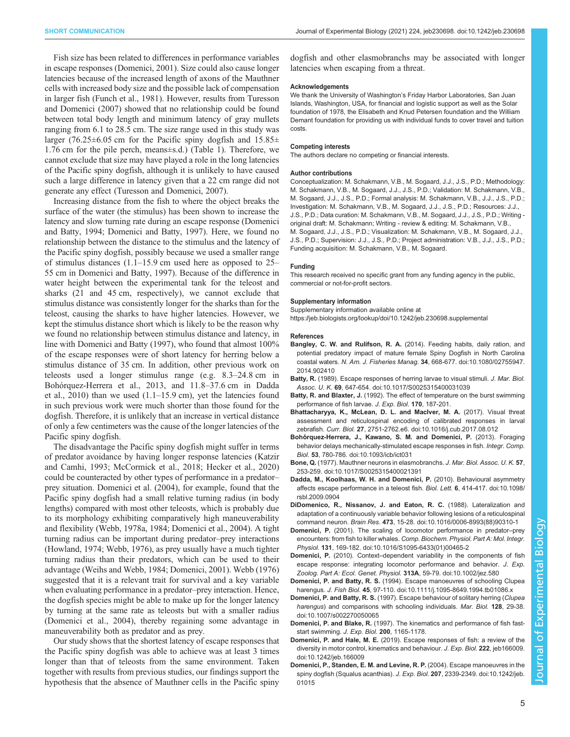<span id="page-4-0"></span>Fish size has been related to differences in performance variables in escape responses (Domenici, 2001). Size could also cause longer latencies because of the increased length of axons of the Mauthner cells with increased body size and the possible lack of compensation in larger fish [\(Funch et al., 1981\)](#page-5-0). However, results from [Turesson](#page-5-0) [and Domenici \(2007\)](#page-5-0) showed that no relationship could be found between total body length and minimum latency of gray mullets ranging from 6.1 to 28.5 cm. The size range used in this study was larger (76.25 $\pm$ 6.05 cm for the Pacific spiny dogfish and 15.85 $\pm$ 1.76 cm for the pile perch, means±s.d.) [\(Table 1\)](#page-2-0). Therefore, we cannot exclude that size may have played a role in the long latencies of the Pacific spiny dogfish, although it is unlikely to have caused such a large difference in latency given that a 22 cm range did not generate any effect ([Turesson and Domenici, 2007](#page-5-0)).

Increasing distance from the fish to where the object breaks the surface of the water (the stimulus) has been shown to increase the latency and slow turning rate during an escape response (Domenici and Batty, 1994; Domenici and Batty, 1997). Here, we found no relationship between the distance to the stimulus and the latency of the Pacific spiny dogfish, possibly because we used a smaller range of stimulus distances (1.1–15.9 cm used here as opposed to 25– 55 cm in Domenici and Batty, 1997). Because of the difference in water height between the experimental tank for the teleost and sharks (21 and 45 cm, respectively), we cannot exclude that stimulus distance was consistently longer for the sharks than for the teleost, causing the sharks to have higher latencies. However, we kept the stimulus distance short which is likely to be the reason why we found no relationship between stimulus distance and latency, in line with Domenici and Batty (1997), who found that almost 100% of the escape responses were of short latency for herring below a stimulus distance of 35 cm. In addition, other previous work on teleosts used a longer stimulus range (e.g. 8.3–24.8 cm in Bohórquez-Herrera et al., 2013, and 11.8–37.6 cm in Dadda et al.,  $2010$ ) than we used  $(1.1-15.9 \text{ cm})$ , yet the latencies found in such previous work were much shorter than those found for the dogfish. Therefore, it is unlikely that an increase in vertical distance of only a few centimeters was the cause of the longer latencies of the Pacific spiny dogfish.

The disadvantage the Pacific spiny dogfish might suffer in terms of predator avoidance by having longer response latencies ([Katzir](#page-5-0) [and Camhi, 1993; McCormick et al., 2018](#page-5-0); [Hecker et al., 2020\)](#page-5-0) could be counteracted by other types of performance in a predator– prey situation. Domenici et al. (2004), for example, found that the Pacific spiny dogfish had a small relative turning radius (in body lengths) compared with most other teleosts, which is probably due to its morphology exhibiting comparatively high maneuverability and flexibility [\(Webb, 1978a](#page-5-0), [1984;](#page-5-0) Domenici et al., 2004). A tight turning radius can be important during predator–prey interactions [\(Howland, 1974](#page-5-0); [Webb, 1976\)](#page-5-0), as prey usually have a much tighter turning radius than their predators, which can be used to their advantage [\(Weihs and Webb, 1984](#page-5-0); Domenici, 2001). [Webb \(1976\)](#page-5-0) suggested that it is a relevant trait for survival and a key variable when evaluating performance in a predator–prey interaction. Hence, the dogfish species might be able to make up for the longer latency by turning at the same rate as teleosts but with a smaller radius (Domenici et al., 2004), thereby regaining some advantage in maneuverability both as predator and as prey.

Our study shows that the shortest latency of escape responses that the Pacific spiny dogfish was able to achieve was at least 3 times longer than that of teleosts from the same environment. Taken together with results from previous studies, our findings support the hypothesis that the absence of Mauthner cells in the Pacific spiny

dogfish and other elasmobranchs may be associated with longer latencies when escaping from a threat.

#### Acknowledgements

We thank the University of Washington's Friday Harbor Laboratories, San Juan Islands, Washington, USA, for financial and logistic support as well as the Solar foundation of 1978, the Elisabeth and Knud Petersen foundation and the William Demant foundation for providing us with individual funds to cover travel and tuition costs.

## Competing interests

The authors declare no competing or financial interests.

#### Author contributions

Conceptualization: M. Schakmann, V.B., M. Sogaard, J.J., J.S., P.D.; Methodology: M. Schakmann, V.B., M. Sogaard, J.J., J.S., P.D.; Validation: M. Schakmann, V.B., M. Sogaard, J.J., J.S., P.D.; Formal analysis: M. Schakmann, V.B., J.J., J.S., P.D.; Investigation: M. Schakmann, V.B., M. Sogaard, J.J., J.S., P.D.; Resources: J.J., J.S., P.D.; Data curation: M. Schakmann, V.B., M. Sogaard, J.J., J.S., P.D.; Writing original draft: M. Schakmann; Writing - review & editing: M. Schakmann, V.B., M. Sogaard, J.J., J.S., P.D.; Visualization: M. Schakmann, V.B., M. Sogaard, J.J., J.S., P.D.; Supervision: J.J., J.S., P.D.; Project administration: V.B., J.J., J.S., P.D.; Funding acquisition: M. Schakmann, V.B., M. Sogaard.

#### Funding

This research received no specific grant from any funding agency in the public, commercial or not-for-profit sectors.

#### Supplementary information

Supplementary information available online at <https://jeb.biologists.org/lookup/doi/10.1242/jeb.230698.supplemental>

#### References

- Bangley, C. W. and Rulifson, R. A. [\(2014\). Feeding habits, daily ration, and](https://doi.org/10.1080/02755947.2014.902410) [potential predatory impact of mature female Spiny Dogfish in North Carolina](https://doi.org/10.1080/02755947.2014.902410) coastal waters. N. Am. J. Fisheries Manag. 34[, 668-677. doi:10.1080/02755947.](https://doi.org/10.1080/02755947.2014.902410) [2014.902410](https://doi.org/10.1080/02755947.2014.902410)
- Batty, R. [\(1989\). Escape responses of herring larvae to visual stimuli.](https://doi.org/10.1017/S0025315400031039) J. Mar. Biol. Assoc. U. K. 69[, 647-654. doi:10.1017/S0025315400031039](https://doi.org/10.1017/S0025315400031039)
- Batty, R. and Blaxter, J. (1992). The effect of temperature on the burst swimming performance of fish larvae. J. Exp. Biol. 170, 187-201.
- [Bhattacharyya, K., McLean, D. L. and MacIver, M. A.](https://doi.org/10.1016/j.cub.2017.08.012) (2017). Visual threat [assessment and reticulospinal encoding of calibrated responses in larval](https://doi.org/10.1016/j.cub.2017.08.012) zebrafish. Curr. Biol. 27[, 2751-2762.e6. doi:10.1016/j.cub.2017.08.012](https://doi.org/10.1016/j.cub.2017.08.012)
- Bohó[rquez-Herrera, J., Kawano, S. M. and Domenici, P.](https://doi.org/10.1093/icb/ict031) (2013). Foraging [behavior delays mechanically-stimulated escape responses in fish.](https://doi.org/10.1093/icb/ict031) Integr. Comp. Biol. 53[, 780-786. doi:10.1093/icb/ict031](https://doi.org/10.1093/icb/ict031)
- Bone, Q. [\(1977\). Mauthner neurons in elasmobranchs.](https://doi.org/10.1017/S0025315400021391) J. Mar. Biol. Assoc. U. K. 57, [253-259. doi:10.1017/S0025315400021391](https://doi.org/10.1017/S0025315400021391)
- [Dadda, M., Koolhaas, W. H. and Domenici, P.](https://doi.org/10.1098/rsbl.2009.0904) (2010). Behavioural asymmetry [affects escape performance in a teleost fish.](https://doi.org/10.1098/rsbl.2009.0904) Biol. Lett. 6, 414-417. doi:10.1098/ [rsbl.2009.0904](https://doi.org/10.1098/rsbl.2009.0904)
- [DiDomenico, R., Nissanov, J. and Eaton, R. C.](https://doi.org/10.1016/0006-8993(88)90310-1) (1988). Lateralization and [adaptation of a continuously variable behavior following lesions of a reticulospinal](https://doi.org/10.1016/0006-8993(88)90310-1) command neuron. Brain Res. 473[, 15-28. doi:10.1016/0006-8993\(88\)90310-1](https://doi.org/10.1016/0006-8993(88)90310-1)
- Domenici, P. [\(2001\). The scaling of locomotor performance in predator](https://doi.org/10.1016/S1095-6433(01)00465-2)–prey encounters: from fish to killer whales. [Comp. Biochem. Physiol. Part A: Mol. Integr.](https://doi.org/10.1016/S1095-6433(01)00465-2) Physiol. 131[, 169-182. doi:10.1016/S1095-6433\(01\)00465-2](https://doi.org/10.1016/S1095-6433(01)00465-2)
- Domenici, P. (2010). Context–[dependent variability in the components of fish](https://doi.org/10.1002/jez.580) [escape response: integrating locomotor performance and behavior.](https://doi.org/10.1002/jez.580) J. Exp. [Zoolog. Part A: Ecol. Genet. Physiol.](https://doi.org/10.1002/jez.580) 313A, 59-79. doi:10.1002/jez.580
- Domenici, P. and Batty, R. S. [\(1994\). Escape manoeuvres of schooling Clupea](https://doi.org/10.1111/j.1095-8649.1994.tb01086.x) harengus. J. Fish Biol. 45[, 97-110. doi:10.1111/j.1095-8649.1994.tb01086.x](https://doi.org/10.1111/j.1095-8649.1994.tb01086.x)
- Domenici, P. and Batty, R. S. [\(1997\). Escape behaviour of solitary herring \(](https://doi.org/10.1007/s002270050065)Clupea harengus[\) and comparisons with schooling individuals.](https://doi.org/10.1007/s002270050065) Mar. Biol. 128, 29-38. [doi:10.1007/s002270050065](https://doi.org/10.1007/s002270050065)
- Domenici, P. and Blake, R. (1997). The kinematics and performance of fish faststart swimming. J. Exp. Biol. 200, 1165-1178.
- Domenici, P. and Hale, M. E. [\(2019\). Escape responses of fish: a review of the](https://doi.org/10.1242/jeb.166009) [diversity in motor control, kinematics and behaviour.](https://doi.org/10.1242/jeb.166009) J. Exp. Biol. 222, jeb166009. [doi:10.1242/jeb.166009](https://doi.org/10.1242/jeb.166009)
- [Domenici, P., Standen, E. M. and Levine, R. P.](https://doi.org/10.1242/jeb.01015) (2004). Escape manoeuvres in the [spiny dogfish \(Squalus acanthias\).](https://doi.org/10.1242/jeb.01015) J. Exp. Biol. 207, 2339-2349. doi:10.1242/jeb. [01015](https://doi.org/10.1242/jeb.01015)